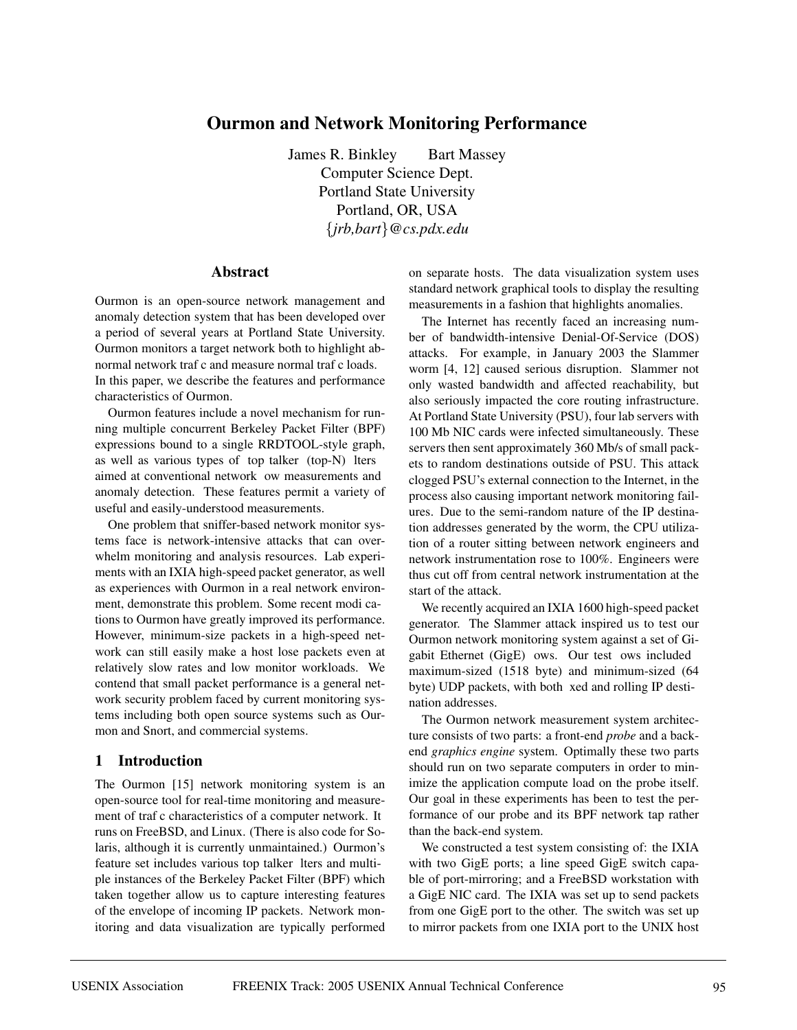# **Ourmon and Network Monitoring Performance**

James R. Binkley Bart Massey Computer Science Dept. Portland State University Portland, OR, USA {*jrb,bart*}*@cs.pdx.edu*

### **Abstract**

Ourmon is an open-source network management and anomaly detection system that has been developed over a period of several years at Portland State University. Ourmon monitors a target network both to highlight abnormal network traf c and measure normal traf c loads. In this paper, we describe the features and performance characteristics of Ourmon.

Ourmon features include a novel mechanism for running multiple concurrent Berkeley Packet Filter (BPF) expressions bound to a single RRDTOOL-style graph, as well as various types of top talker (top-N) lters aimed at conventional network ow measurements and anomaly detection. These features permit a variety of useful and easily-understood measurements.

One problem that sniffer-based network monitor systems face is network-intensive attacks that can overwhelm monitoring and analysis resources. Lab experiments with an IXIA high-speed packet generator, as well as experiences with Ourmon in a real network environment, demonstrate this problem. Some recent modi cations to Ourmon have greatly improved its performance. However, minimum-size packets in a high-speed network can still easily make a host lose packets even at relatively slow rates and low monitor workloads. We contend that small packet performance is a general network security problem faced by current monitoring systems including both open source systems such as Ourmon and Snort, and commercial systems.

#### **1 Introduction**

The Ourmon [15] network monitoring system is an open-source tool for real-time monitoring and measurement of traf c characteristics of a computer network. It runs on FreeBSD, and Linux. (There is also code for Solaris, although it is currently unmaintained.) Ourmon's feature set includes various top talker lters and multiple instances of the Berkeley Packet Filter (BPF) which taken together allow us to capture interesting features of the envelope of incoming IP packets. Network monitoring and data visualization are typically performed

on separate hosts. The data visualization system uses standard network graphical tools to display the resulting measurements in a fashion that highlights anomalies.

The Internet has recently faced an increasing number of bandwidth-intensive Denial-Of-Service (DOS) attacks. For example, in January 2003 the Slammer worm [4, 12] caused serious disruption. Slammer not only wasted bandwidth and affected reachability, but also seriously impacted the core routing infrastructure. At Portland State University (PSU), four lab servers with 100 Mb NIC cards were infected simultaneously. These servers then sent approximately 360 Mb/s of small packets to random destinations outside of PSU. This attack clogged PSU's external connection to the Internet, in the process also causing important network monitoring failures. Due to the semi-random nature of the IP destination addresses generated by the worm, the CPU utilization of a router sitting between network engineers and network instrumentation rose to 100%. Engineers were thus cut off from central network instrumentation at the start of the attack.

We recently acquired an IXIA 1600 high-speed packet generator. The Slammer attack inspired us to test our Ourmon network monitoring system against a set of Gigabit Ethernet (GigE) ows. Our test ows included maximum-sized (1518 byte) and minimum-sized (64 byte) UDP packets, with both xed and rolling IP destination addresses.

The Ourmon network measurement system architecture consists of two parts: a front-end *probe* and a backend *graphics engine* system. Optimally these two parts should run on two separate computers in order to minimize the application compute load on the probe itself. Our goal in these experiments has been to test the performance of our probe and its BPF network tap rather than the back-end system.

We constructed a test system consisting of: the IXIA with two GigE ports; a line speed GigE switch capable of port-mirroring; and a FreeBSD workstation with a GigE NIC card. The IXIA was set up to send packets from one GigE port to the other. The switch was set up to mirror packets from one IXIA port to the UNIX host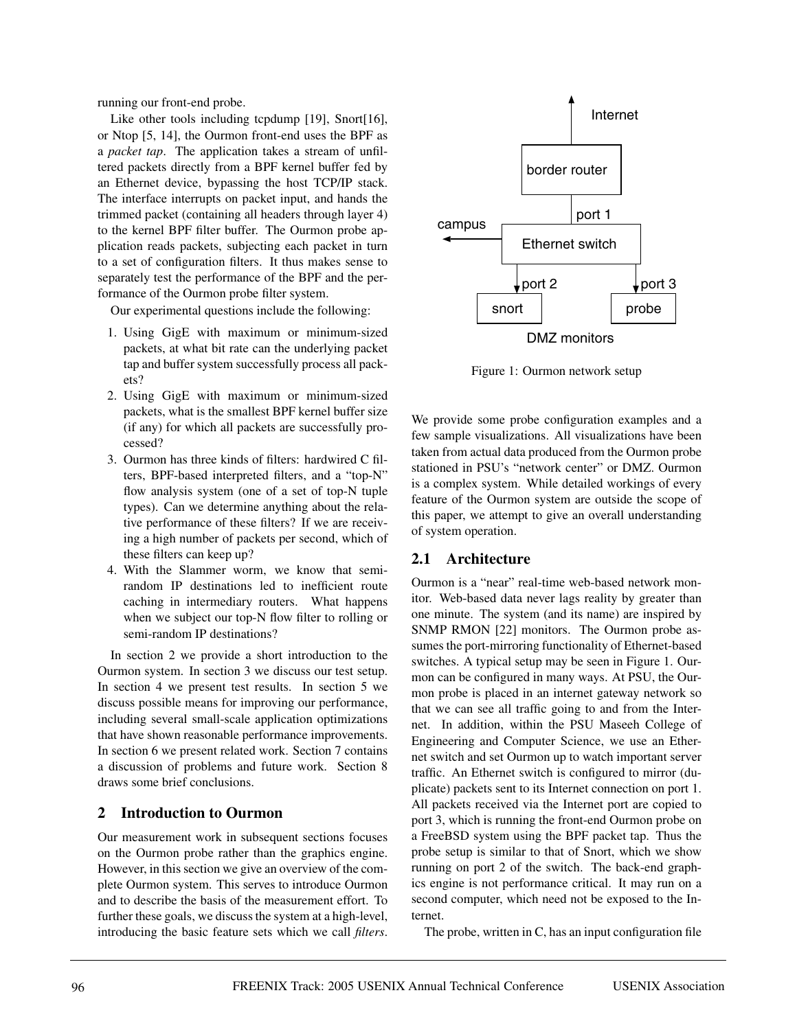running our front-end probe.

Like other tools including tcpdump [19], Snort[16], or Ntop [5, 14], the Ourmon front-end uses the BPF as a *packet tap*. The application takes a stream of unfiltered packets directly from a BPF kernel buffer fed by an Ethernet device, bypassing the host TCP/IP stack. The interface interrupts on packet input, and hands the trimmed packet (containing all headers through layer 4) to the kernel BPF filter buffer. The Ourmon probe application reads packets, subjecting each packet in turn to a set of configuration filters. It thus makes sense to separately test the performance of the BPF and the performance of the Ourmon probe filter system.

Our experimental questions include the following:

- 1. Using GigE with maximum or minimum-sized packets, at what bit rate can the underlying packet tap and buffer system successfully process all packets?
- 2. Using GigE with maximum or minimum-sized packets, what is the smallest BPF kernel buffer size (if any) for which all packets are successfully processed?
- 3. Ourmon has three kinds of filters: hardwired C filters, BPF-based interpreted filters, and a "top-N" flow analysis system (one of a set of top-N tuple types). Can we determine anything about the relative performance of these filters? If we are receiving a high number of packets per second, which of these filters can keep up?
- 4. With the Slammer worm, we know that semirandom IP destinations led to inefficient route caching in intermediary routers. What happens when we subject our top-N flow filter to rolling or semi-random IP destinations?

In section 2 we provide a short introduction to the Ourmon system. In section 3 we discuss our test setup. In section 4 we present test results. In section 5 we discuss possible means for improving our performance, including several small-scale application optimizations that have shown reasonable performance improvements. In section 6 we present related work. Section 7 contains a discussion of problems and future work. Section 8 draws some brief conclusions.

## **2 Introduction to Ourmon**

Our measurement work in subsequent sections focuses on the Ourmon probe rather than the graphics engine. However, in this section we give an overview of the complete Ourmon system. This serves to introduce Ourmon and to describe the basis of the measurement effort. To further these goals, we discuss the system at a high-level, introducing the basic feature sets which we call *filters*.



Figure 1: Ourmon network setup

We provide some probe configuration examples and a few sample visualizations. All visualizations have been taken from actual data produced from the Ourmon probe stationed in PSU's "network center" or DMZ. Ourmon is a complex system. While detailed workings of every feature of the Ourmon system are outside the scope of this paper, we attempt to give an overall understanding of system operation.

### **2.1 Architecture**

Ourmon is a "near" real-time web-based network monitor. Web-based data never lags reality by greater than one minute. The system (and its name) are inspired by SNMP RMON [22] monitors. The Ourmon probe assumes the port-mirroring functionality of Ethernet-based switches. A typical setup may be seen in Figure 1. Ourmon can be configured in many ways. At PSU, the Ourmon probe is placed in an internet gateway network so that we can see all traffic going to and from the Internet. In addition, within the PSU Maseeh College of Engineering and Computer Science, we use an Ethernet switch and set Ourmon up to watch important server traffic. An Ethernet switch is configured to mirror (duplicate) packets sent to its Internet connection on port 1. All packets received via the Internet port are copied to port 3, which is running the front-end Ourmon probe on a FreeBSD system using the BPF packet tap. Thus the probe setup is similar to that of Snort, which we show running on port 2 of the switch. The back-end graphics engine is not performance critical. It may run on a second computer, which need not be exposed to the Internet.

The probe, written in C, has an input configuration file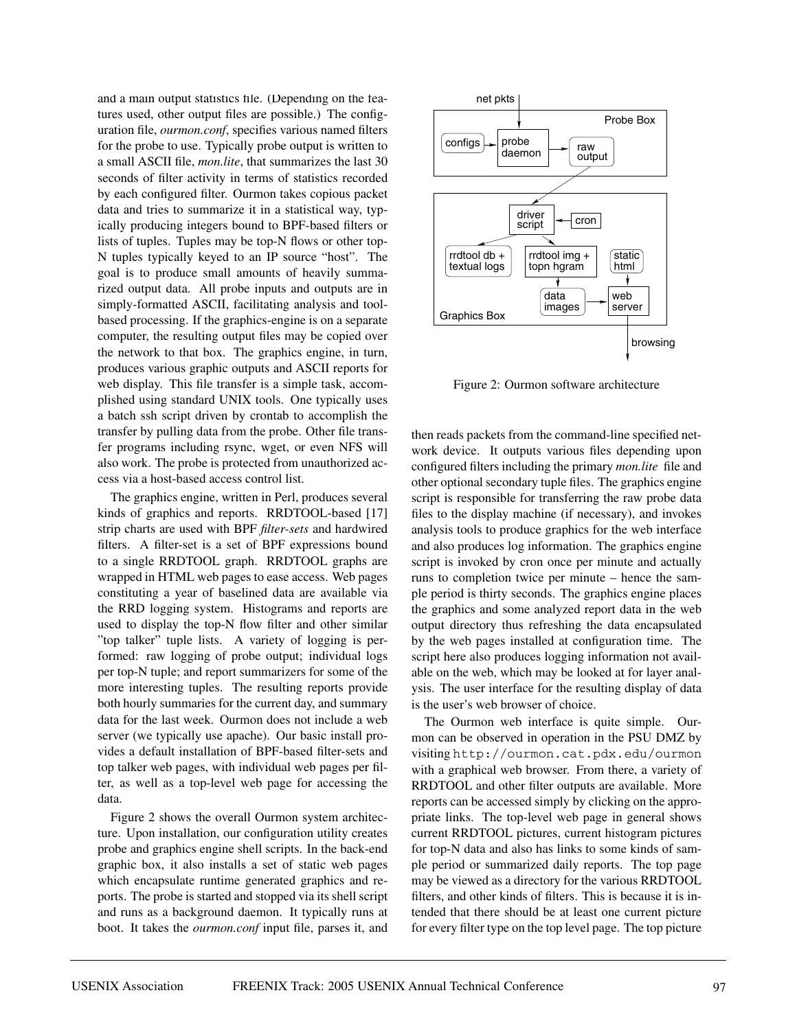and a main output statistics file. (Depending on the features used, other output files are possible.) The configuration file, *ourmon.conf*, specifies various named filters for the probe to use. Typically probe output is written to a small ASCII file, *mon.lite*, that summarizes the last 30 seconds of filter activity in terms of statistics recorded by each configured filter. Ourmon takes copious packet data and tries to summarize it in a statistical way, typically producing integers bound to BPF-based filters or lists of tuples. Tuples may be top-N flows or other top-N tuples typically keyed to an IP source "host". The goal is to produce small amounts of heavily summarized output data. All probe inputs and outputs are in simply-formatted ASCII, facilitating analysis and toolbased processing. If the graphics-engine is on a separate computer, the resulting output files may be copied over the network to that box. The graphics engine, in turn, produces various graphic outputs and ASCII reports for web display. This file transfer is a simple task, accomplished using standard UNIX tools. One typically uses a batch ssh script driven by crontab to accomplish the transfer by pulling data from the probe. Other file transfer programs including rsync, wget, or even NFS will also work. The probe is protected from unauthorized access via a host-based access control list.

The graphics engine, written in Perl, produces several kinds of graphics and reports. RRDTOOL-based [17] strip charts are used with BPF *filter-sets* and hardwired filters. A filter-set is a set of BPF expressions bound to a single RRDTOOL graph. RRDTOOL graphs are wrapped in HTML web pages to ease access. Web pages constituting a year of baselined data are available via the RRD logging system. Histograms and reports are used to display the top-N flow filter and other similar "top talker" tuple lists. A variety of logging is performed: raw logging of probe output; individual logs per top-N tuple; and report summarizers for some of the more interesting tuples. The resulting reports provide both hourly summaries for the current day, and summary data for the last week. Ourmon does not include a web server (we typically use apache). Our basic install provides a default installation of BPF-based filter-sets and top talker web pages, with individual web pages per filter, as well as a top-level web page for accessing the data.

Figure 2 shows the overall Ourmon system architecture. Upon installation, our configuration utility creates probe and graphics engine shell scripts. In the back-end graphic box, it also installs a set of static web pages which encapsulate runtime generated graphics and reports. The probe is started and stopped via its shell script and runs as a background daemon. It typically runs at boot. It takes the *ourmon.conf* input file, parses it, and



Figure 2: Ourmon software architecture

then reads packets from the command-line specified network device. It outputs various files depending upon configured filters including the primary *mon.lite* file and other optional secondary tuple files. The graphics engine script is responsible for transferring the raw probe data files to the display machine (if necessary), and invokes analysis tools to produce graphics for the web interface and also produces log information. The graphics engine script is invoked by cron once per minute and actually runs to completion twice per minute – hence the sample period is thirty seconds. The graphics engine places the graphics and some analyzed report data in the web output directory thus refreshing the data encapsulated by the web pages installed at configuration time. The script here also produces logging information not available on the web, which may be looked at for layer analysis. The user interface for the resulting display of data is the user's web browser of choice.

The Ourmon web interface is quite simple. Ourmon can be observed in operation in the PSU DMZ by visiting http://ourmon.cat.pdx.edu/ourmon with a graphical web browser. From there, a variety of RRDTOOL and other filter outputs are available. More reports can be accessed simply by clicking on the appropriate links. The top-level web page in general shows current RRDTOOL pictures, current histogram pictures for top-N data and also has links to some kinds of sample period or summarized daily reports. The top page may be viewed as a directory for the various RRDTOOL filters, and other kinds of filters. This is because it is intended that there should be at least one current picture for every filter type on the top level page. The top picture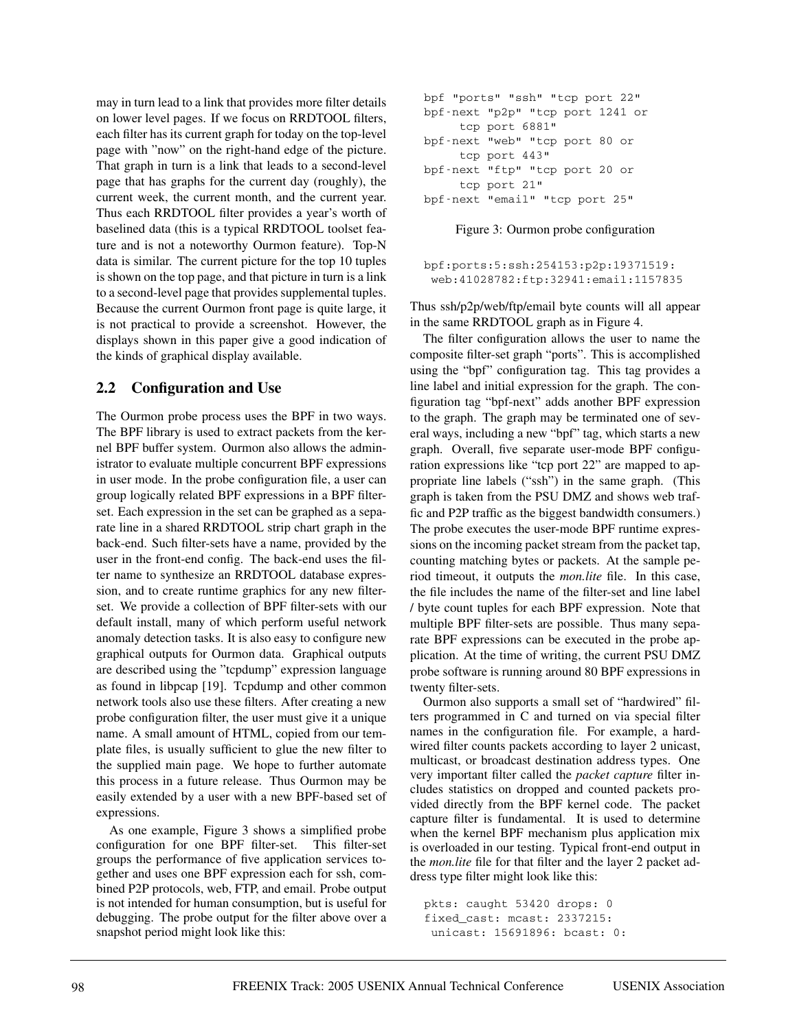may in turn lead to a link that provides more filter details on lower level pages. If we focus on RRDTOOL filters, each filter has its current graph for today on the top-level page with "now" on the right-hand edge of the picture. That graph in turn is a link that leads to a second-level page that has graphs for the current day (roughly), the current week, the current month, and the current year. Thus each RRDTOOL filter provides a year's worth of baselined data (this is a typical RRDTOOL toolset feature and is not a noteworthy Ourmon feature). Top-N data is similar. The current picture for the top 10 tuples is shown on the top page, and that picture in turn is a link to a second-level page that provides supplemental tuples. Because the current Ourmon front page is quite large, it is not practical to provide a screenshot. However, the displays shown in this paper give a good indication of the kinds of graphical display available.

### **2.2 Configuration and Use**

The Ourmon probe process uses the BPF in two ways. The BPF library is used to extract packets from the kernel BPF buffer system. Ourmon also allows the administrator to evaluate multiple concurrent BPF expressions in user mode. In the probe configuration file, a user can group logically related BPF expressions in a BPF filterset. Each expression in the set can be graphed as a separate line in a shared RRDTOOL strip chart graph in the back-end. Such filter-sets have a name, provided by the user in the front-end config. The back-end uses the filter name to synthesize an RRDTOOL database expression, and to create runtime graphics for any new filterset. We provide a collection of BPF filter-sets with our default install, many of which perform useful network anomaly detection tasks. It is also easy to configure new graphical outputs for Ourmon data. Graphical outputs are described using the "tcpdump" expression language as found in libpcap [19]. Tcpdump and other common network tools also use these filters. After creating a new probe configuration filter, the user must give it a unique name. A small amount of HTML, copied from our template files, is usually sufficient to glue the new filter to the supplied main page. We hope to further automate this process in a future release. Thus Ourmon may be easily extended by a user with a new BPF-based set of expressions.

As one example, Figure 3 shows a simplified probe configuration for one BPF filter-set. This filter-set groups the performance of five application services together and uses one BPF expression each for ssh, combined P2P protocols, web, FTP, and email. Probe output is not intended for human consumption, but is useful for debugging. The probe output for the filter above over a snapshot period might look like this:

| bpf "ports" "ssh" "tcp port 22"  |  |  |  |  |
|----------------------------------|--|--|--|--|
| bpf-next "p2p" "tcp port 1241 or |  |  |  |  |
| tcp port 6881"                   |  |  |  |  |
| bpf-next "web" "tcp port 80 or   |  |  |  |  |
| tcp port 443"                    |  |  |  |  |
| bpf-next "ftp" "tcp port 20 or   |  |  |  |  |
| tcp port 21"                     |  |  |  |  |
| bpf-next "email" "tcp port 25"   |  |  |  |  |
|                                  |  |  |  |  |

Figure 3: Ourmon probe configuration

bpf:ports:5:ssh:254153:p2p:19371519: web:41028782:ftp:32941:email:1157835

Thus ssh/p2p/web/ftp/email byte counts will all appear in the same RRDTOOL graph as in Figure 4.

The filter configuration allows the user to name the composite filter-set graph "ports". This is accomplished using the "bpf" configuration tag. This tag provides a line label and initial expression for the graph. The configuration tag "bpf-next" adds another BPF expression to the graph. The graph may be terminated one of several ways, including a new "bpf" tag, which starts a new graph. Overall, five separate user-mode BPF configuration expressions like "tcp port 22" are mapped to appropriate line labels ("ssh") in the same graph. (This graph is taken from the PSU DMZ and shows web traffic and P2P traffic as the biggest bandwidth consumers.) The probe executes the user-mode BPF runtime expressions on the incoming packet stream from the packet tap, counting matching bytes or packets. At the sample period timeout, it outputs the *mon.lite* file. In this case, the file includes the name of the filter-set and line label / byte count tuples for each BPF expression. Note that multiple BPF filter-sets are possible. Thus many separate BPF expressions can be executed in the probe application. At the time of writing, the current PSU DMZ probe software is running around 80 BPF expressions in twenty filter-sets.

Ourmon also supports a small set of "hardwired" filters programmed in C and turned on via special filter names in the configuration file. For example, a hardwired filter counts packets according to layer 2 unicast, multicast, or broadcast destination address types. One very important filter called the *packet capture* filter includes statistics on dropped and counted packets provided directly from the BPF kernel code. The packet capture filter is fundamental. It is used to determine when the kernel BPF mechanism plus application mix is overloaded in our testing. Typical front-end output in the *mon.lite* file for that filter and the layer 2 packet address type filter might look like this:

```
pkts: caught 53420 drops: 0
fixed_cast: mcast: 2337215:
unicast: 15691896: bcast: 0:
```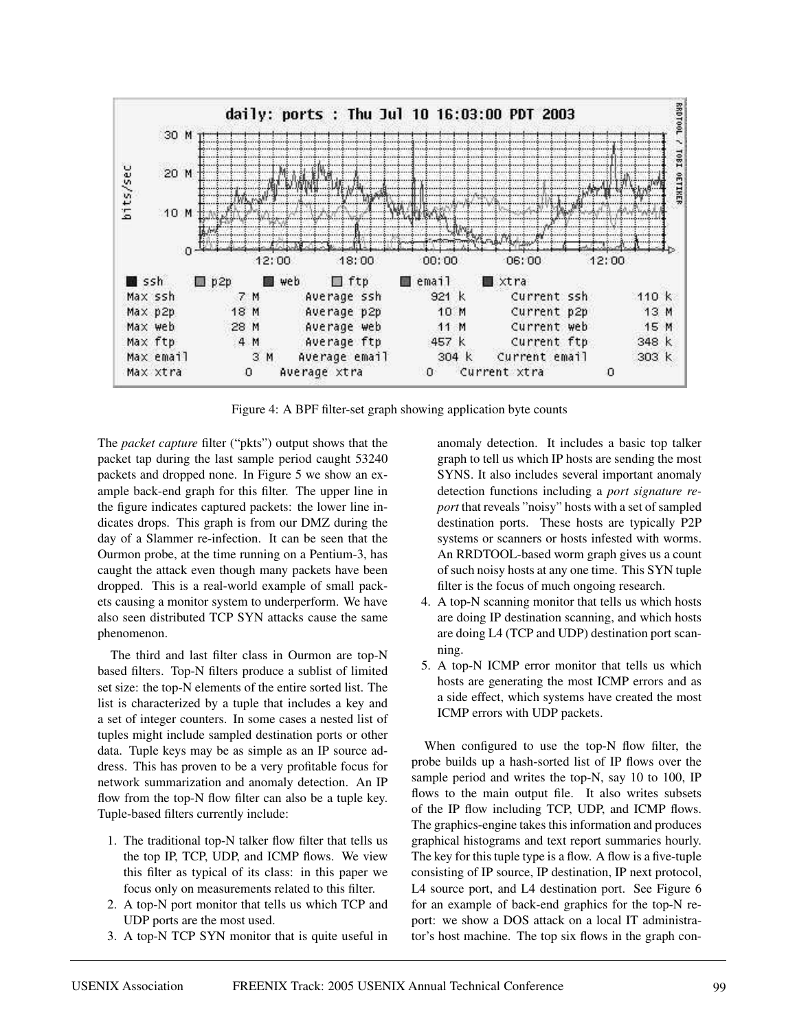

Figure 4: A BPF filter-set graph showing application byte counts

The *packet capture* filter ("pkts") output shows that the packet tap during the last sample period caught 53240 packets and dropped none. In Figure 5 we show an example back-end graph for this filter. The upper line in the figure indicates captured packets: the lower line indicates drops. This graph is from our DMZ during the day of a Slammer re-infection. It can be seen that the Ourmon probe, at the time running on a Pentium-3, has caught the attack even though many packets have been dropped. This is a real-world example of small packets causing a monitor system to underperform. We have also seen distributed TCP SYN attacks cause the same phenomenon.

The third and last filter class in Ourmon are top-N based filters. Top-N filters produce a sublist of limited set size: the top-N elements of the entire sorted list. The list is characterized by a tuple that includes a key and a set of integer counters. In some cases a nested list of tuples might include sampled destination ports or other data. Tuple keys may be as simple as an IP source address. This has proven to be a very profitable focus for network summarization and anomaly detection. An IP flow from the top-N flow filter can also be a tuple key. Tuple-based filters currently include:

- 1. The traditional top-N talker flow filter that tells us the top IP, TCP, UDP, and ICMP flows. We view this filter as typical of its class: in this paper we focus only on measurements related to this filter.
- 2. A top-N port monitor that tells us which TCP and UDP ports are the most used.
- 3. A top-N TCP SYN monitor that is quite useful in

anomaly detection. It includes a basic top talker graph to tell us which IP hosts are sending the most SYNS. It also includes several important anomaly detection functions including a *port signature report* that reveals "noisy" hosts with a set of sampled destination ports. These hosts are typically P2P systems or scanners or hosts infested with worms. An RRDTOOL-based worm graph gives us a count of such noisy hosts at any one time. This SYN tuple filter is the focus of much ongoing research.

- 4. A top-N scanning monitor that tells us which hosts are doing IP destination scanning, and which hosts are doing L4 (TCP and UDP) destination port scanning.
- 5. A top-N ICMP error monitor that tells us which hosts are generating the most ICMP errors and as a side effect, which systems have created the most ICMP errors with UDP packets.

When configured to use the top-N flow filter, the probe builds up a hash-sorted list of IP flows over the sample period and writes the top-N, say 10 to 100, IP flows to the main output file. It also writes subsets of the IP flow including TCP, UDP, and ICMP flows. The graphics-engine takes this information and produces graphical histograms and text report summaries hourly. The key for this tuple type is a flow. A flow is a five-tuple consisting of IP source, IP destination, IP next protocol, L4 source port, and L4 destination port. See Figure 6 for an example of back-end graphics for the top-N report: we show a DOS attack on a local IT administrator's host machine. The top six flows in the graph con-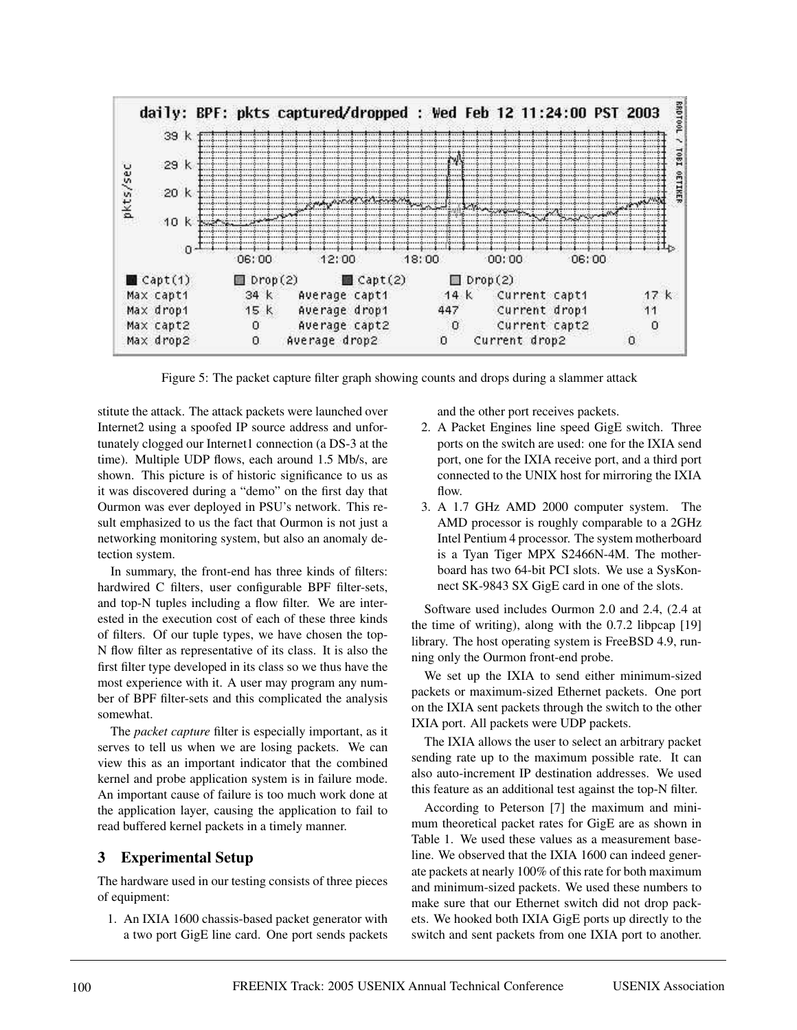

Figure 5: The packet capture filter graph showing counts and drops during a slammer attack

stitute the attack. The attack packets were launched over Internet2 using a spoofed IP source address and unfortunately clogged our Internet1 connection (a DS-3 at the time). Multiple UDP flows, each around 1.5 Mb/s, are shown. This picture is of historic significance to us as it was discovered during a "demo" on the first day that Ourmon was ever deployed in PSU's network. This result emphasized to us the fact that Ourmon is not just a networking monitoring system, but also an anomaly detection system.

In summary, the front-end has three kinds of filters: hardwired C filters, user configurable BPF filter-sets, and top-N tuples including a flow filter. We are interested in the execution cost of each of these three kinds of filters. Of our tuple types, we have chosen the top-N flow filter as representative of its class. It is also the first filter type developed in its class so we thus have the most experience with it. A user may program any number of BPF filter-sets and this complicated the analysis somewhat.

The *packet capture* filter is especially important, as it serves to tell us when we are losing packets. We can view this as an important indicator that the combined kernel and probe application system is in failure mode. An important cause of failure is too much work done at the application layer, causing the application to fail to read buffered kernel packets in a timely manner.

## **3 Experimental Setup**

The hardware used in our testing consists of three pieces of equipment:

1. An IXIA 1600 chassis-based packet generator with a two port GigE line card. One port sends packets and the other port receives packets.

- 2. A Packet Engines line speed GigE switch. Three ports on the switch are used: one for the IXIA send port, one for the IXIA receive port, and a third port connected to the UNIX host for mirroring the IXIA  $flow$
- 3. A 1.7 GHz AMD 2000 computer system. The AMD processor is roughly comparable to a 2GHz Intel Pentium 4 processor. The system motherboard is a Tyan Tiger MPX S2466N-4M. The motherboard has two 64-bit PCI slots. We use a SysKonnect SK-9843 SX GigE card in one of the slots.

Software used includes Ourmon 2.0 and 2.4, (2.4 at the time of writing), along with the 0.7.2 libpcap [19] library. The host operating system is FreeBSD 4.9, running only the Ourmon front-end probe.

We set up the IXIA to send either minimum-sized packets or maximum-sized Ethernet packets. One port on the IXIA sent packets through the switch to the other IXIA port. All packets were UDP packets.

The IXIA allows the user to select an arbitrary packet sending rate up to the maximum possible rate. It can also auto-increment IP destination addresses. We used this feature as an additional test against the top-N filter.

According to Peterson [7] the maximum and minimum theoretical packet rates for GigE are as shown in Table 1. We used these values as a measurement baseline. We observed that the IXIA 1600 can indeed generate packets at nearly 100% of this rate for both maximum and minimum-sized packets. We used these numbers to make sure that our Ethernet switch did not drop packets. We hooked both IXIA GigE ports up directly to the switch and sent packets from one IXIA port to another.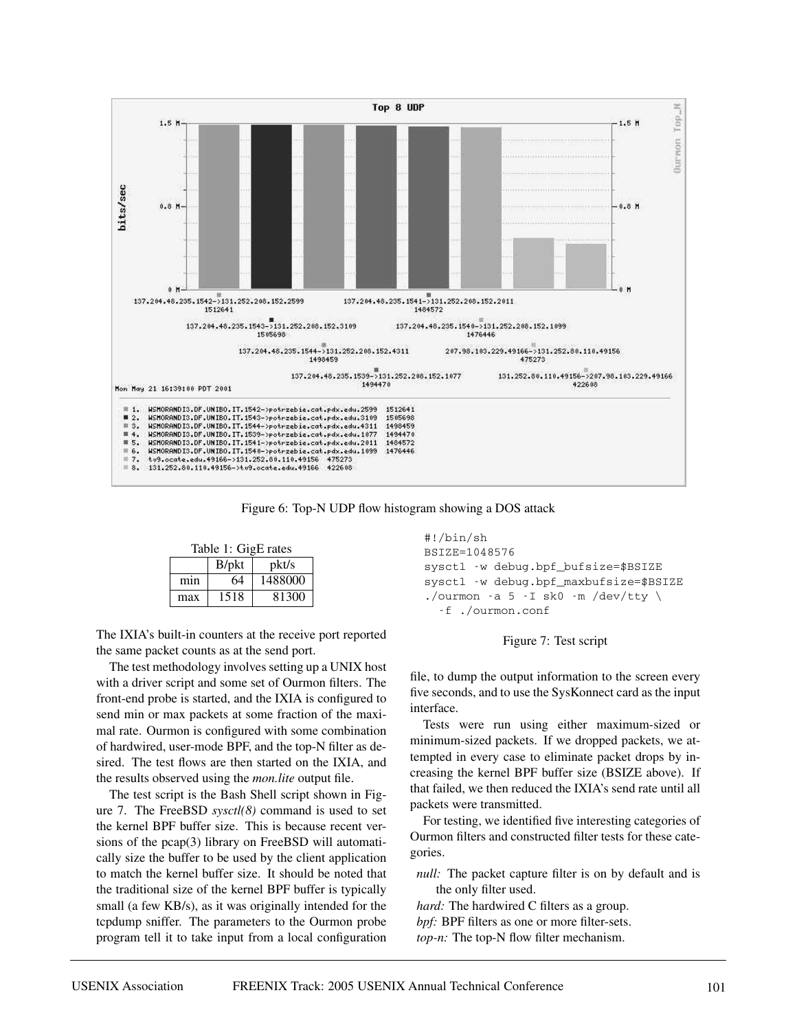

Figure 6: Top-N UDP flow histogram showing a DOS attack

| Table 1: GigE rates |                   |         |  |
|---------------------|-------------------|---------|--|
|                     | B <sub>/pkt</sub> | pkt/s   |  |
| min                 | 64                | 1488000 |  |
| max                 | 1518              | 81300   |  |

The IXIA's built-in counters at the receive port reported the same packet counts as at the send port.

The test methodology involves setting up a UNIX host with a driver script and some set of Ourmon filters. The front-end probe is started, and the IXIA is configured to send min or max packets at some fraction of the maximal rate. Ourmon is configured with some combination of hardwired, user-mode BPF, and the top-N filter as desired. The test flows are then started on the IXIA, and the results observed using the *mon.lite* output file.

The test script is the Bash Shell script shown in Figure 7. The FreeBSD *sysctl(8)* command is used to set the kernel BPF buffer size. This is because recent versions of the pcap(3) library on FreeBSD will automatically size the buffer to be used by the client application to match the kernel buffer size. It should be noted that the traditional size of the kernel BPF buffer is typically small (a few KB/s), as it was originally intended for the tcpdump sniffer. The parameters to the Ourmon probe program tell it to take input from a local configuration

```
#!/bin/sh
BSIZE=1048576
sysctl -w debug.bpf_bufsize=$BSIZE
sysctl -w debug.bpf_maxbufsize=$BSIZE
./ourmon -a 5 - I sk0 - m / dev/ tty \setminus-f ./ourmon.conf
```
#### Figure 7: Test script

file, to dump the output information to the screen every five seconds, and to use the SysKonnect card as the input interface.

Tests were run using either maximum-sized or minimum-sized packets. If we dropped packets, we attempted in every case to eliminate packet drops by increasing the kernel BPF buffer size (BSIZE above). If that failed, we then reduced the IXIA's send rate until all packets were transmitted.

For testing, we identified five interesting categories of Ourmon filters and constructed filter tests for these categories.

*null:* The packet capture filter is on by default and is the only filter used.

*hard:* The hardwired C filters as a group. *bpf:* BPF filters as one or more filter-sets. *top-n:* The top-N flow filter mechanism.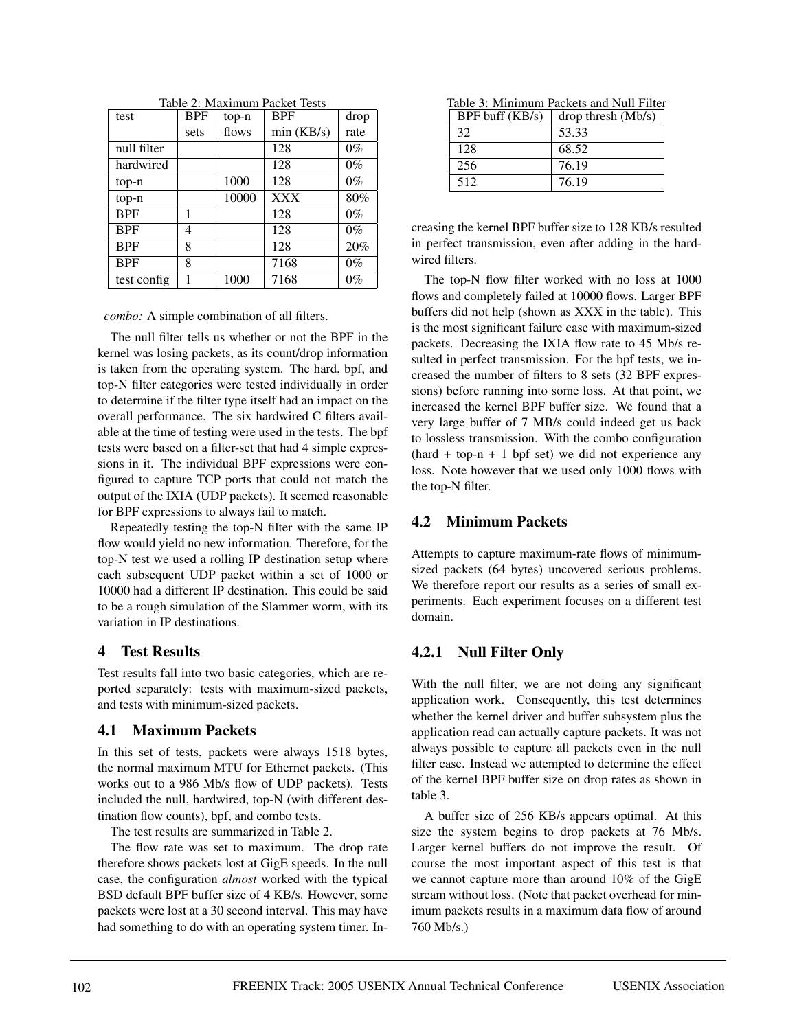| Taoic 2. Inaxhirthii 1 acket 103ts |            |       |            |       |
|------------------------------------|------------|-------|------------|-------|
| test                               | <b>BPF</b> | top-n | <b>BPF</b> | drop  |
|                                    | sets       | flows | min(KB/s)  | rate  |
| null filter                        |            |       | 128        | $0\%$ |
| hardwired                          |            |       | 128        | $0\%$ |
| top-n                              |            | 1000  | 128        | $0\%$ |
| top-n                              |            | 10000 | <b>XXX</b> | 80%   |
| <b>BPF</b>                         | 1          |       | 128        | $0\%$ |
| <b>BPF</b>                         | 4          |       | 128        | $0\%$ |
| <b>BPF</b>                         | 8          |       | 128        | 20%   |
| <b>BPF</b>                         | 8          |       | 7168       | $0\%$ |
| test config                        |            | 1000  | 7168       | $0\%$ |

Table 2: Maximum Packet Tests

*combo:* A simple combination of all filters.

The null filter tells us whether or not the BPF in the kernel was losing packets, as its count/drop information is taken from the operating system. The hard, bpf, and top-N filter categories were tested individually in order to determine if the filter type itself had an impact on the overall performance. The six hardwired C filters available at the time of testing were used in the tests. The bpf tests were based on a filter-set that had 4 simple expressions in it. The individual BPF expressions were configured to capture TCP ports that could not match the output of the IXIA (UDP packets). It seemed reasonable for BPF expressions to always fail to match.

Repeatedly testing the top-N filter with the same IP flow would yield no new information. Therefore, for the top-N test we used a rolling IP destination setup where each subsequent UDP packet within a set of 1000 or 10000 had a different IP destination. This could be said to be a rough simulation of the Slammer worm, with its variation in IP destinations.

### **4 Test Results**

Test results fall into two basic categories, which are reported separately: tests with maximum-sized packets, and tests with minimum-sized packets.

### **4.1 Maximum Packets**

In this set of tests, packets were always 1518 bytes, the normal maximum MTU for Ethernet packets. (This works out to a 986 Mb/s flow of UDP packets). Tests included the null, hardwired, top-N (with different destination flow counts), bpf, and combo tests.

The test results are summarized in Table 2.

The flow rate was set to maximum. The drop rate therefore shows packets lost at GigE speeds. In the null case, the configuration *almost* worked with the typical BSD default BPF buffer size of 4 KB/s. However, some packets were lost at a 30 second interval. This may have had something to do with an operating system timer. In-

| Table 3: Minimum Packets and Null Filter |                    |  |  |
|------------------------------------------|--------------------|--|--|
| $BPF$ buff $(KB/s)$                      | drop thresh (Mb/s) |  |  |
| 32                                       | 53.33              |  |  |
| 128                                      | 68.52              |  |  |
| 256                                      | 76.19              |  |  |
| 512                                      | 76.19              |  |  |

creasing the kernel BPF buffer size to 128 KB/s resulted in perfect transmission, even after adding in the hardwired filters.

The top-N flow filter worked with no loss at 1000 flows and completely failed at 10000 flows. Larger BPF buffers did not help (shown as XXX in the table). This is the most significant failure case with maximum-sized packets. Decreasing the IXIA flow rate to 45 Mb/s resulted in perfect transmission. For the bpf tests, we increased the number of filters to 8 sets (32 BPF expressions) before running into some loss. At that point, we increased the kernel BPF buffer size. We found that a very large buffer of 7 MB/s could indeed get us back to lossless transmission. With the combo configuration  $(hard + top-n + 1)$  bpf set) we did not experience any loss. Note however that we used only 1000 flows with the top-N filter.

# **4.2 Minimum Packets**

Attempts to capture maximum-rate flows of minimumsized packets (64 bytes) uncovered serious problems. We therefore report our results as a series of small experiments. Each experiment focuses on a different test domain.

# **4.2.1 Null Filter Only**

With the null filter, we are not doing any significant application work. Consequently, this test determines whether the kernel driver and buffer subsystem plus the application read can actually capture packets. It was not always possible to capture all packets even in the null filter case. Instead we attempted to determine the effect of the kernel BPF buffer size on drop rates as shown in table 3.

A buffer size of 256 KB/s appears optimal. At this size the system begins to drop packets at 76 Mb/s. Larger kernel buffers do not improve the result. Of course the most important aspect of this test is that we cannot capture more than around 10% of the GigE stream without loss. (Note that packet overhead for minimum packets results in a maximum data flow of around 760 Mb/s.)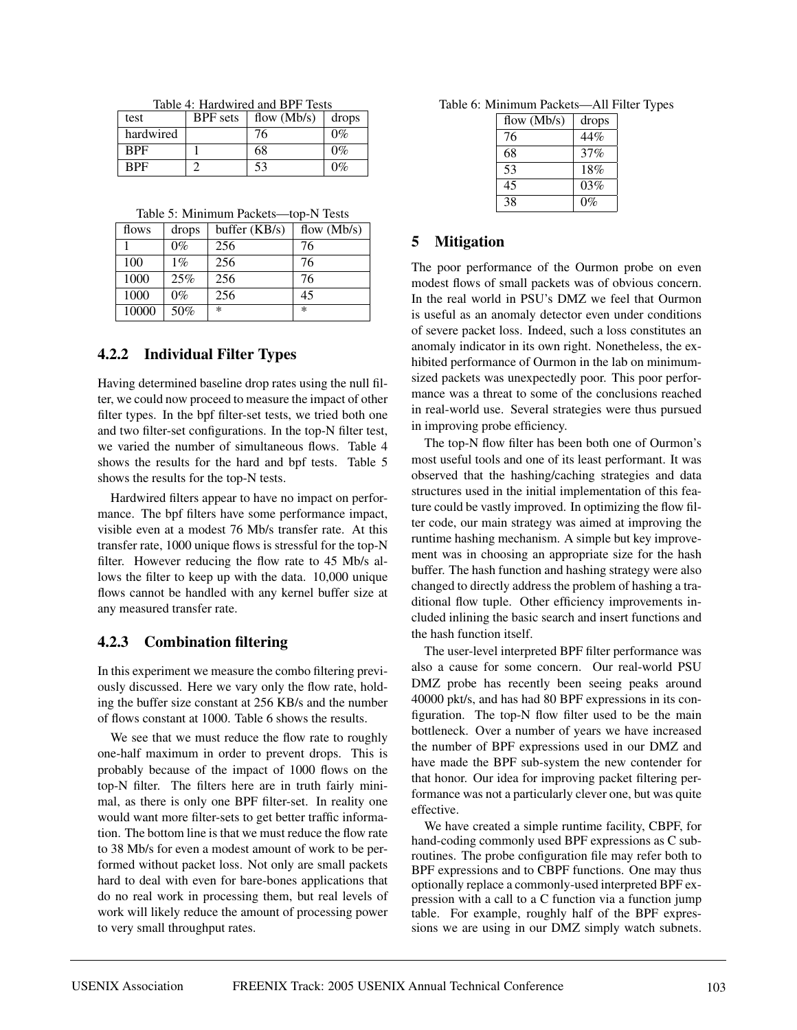|  | Table 4: Hardwired and BPF Tests |  |
|--|----------------------------------|--|
|  |                                  |  |

| test       | <b>BPF</b> sets | flow $(Mb/s)$ | drops |
|------------|-----------------|---------------|-------|
| hardwired  |                 | 76            | $0\%$ |
| <b>BPF</b> |                 | 68            | $0\%$ |
| <b>BPF</b> |                 | 53            | 0%    |

Table 5: Minimum Packets—top-N Tests

| flows | drops | buffer $(KB/s)$ | flow $(Mb/s)$ |
|-------|-------|-----------------|---------------|
|       | $0\%$ | 256             | 76            |
| 100   | $1\%$ | 256             | 76            |
| 1000  | 25%   | 256             | 76            |
| 1000  | $0\%$ | 256             | 45            |
| 10000 | 50%   | $\ast$          | $\ast$        |

### **4.2.2 Individual Filter Types**

Having determined baseline drop rates using the null filter, we could now proceed to measure the impact of other filter types. In the bpf filter-set tests, we tried both one and two filter-set configurations. In the top-N filter test, we varied the number of simultaneous flows. Table 4 shows the results for the hard and bpf tests. Table 5 shows the results for the top-N tests.

Hardwired filters appear to have no impact on performance. The bpf filters have some performance impact, visible even at a modest 76 Mb/s transfer rate. At this transfer rate, 1000 unique flows is stressful for the top-N filter. However reducing the flow rate to 45 Mb/s allows the filter to keep up with the data. 10,000 unique flows cannot be handled with any kernel buffer size at any measured transfer rate.

### **4.2.3 Combination filtering**

In this experiment we measure the combo filtering previously discussed. Here we vary only the flow rate, holding the buffer size constant at 256 KB/s and the number of flows constant at 1000. Table 6 shows the results.

We see that we must reduce the flow rate to roughly one-half maximum in order to prevent drops. This is probably because of the impact of 1000 flows on the top-N filter. The filters here are in truth fairly minimal, as there is only one BPF filter-set. In reality one would want more filter-sets to get better traffic information. The bottom line is that we must reduce the flow rate to 38 Mb/s for even a modest amount of work to be performed without packet loss. Not only are small packets hard to deal with even for bare-bones applications that do no real work in processing them, but real levels of work will likely reduce the amount of processing power to very small throughput rates.

Table 6: Minimum Packets—All Filter Types

| flow $(Mb/s)$ | drops |
|---------------|-------|
| 76            | 44%   |
| 68            | 37%   |
| 53            | 18%   |
| 45            | 03%   |
| 38            | $0\%$ |

### **5 Mitigation**

The poor performance of the Ourmon probe on even modest flows of small packets was of obvious concern. In the real world in PSU's DMZ we feel that Ourmon is useful as an anomaly detector even under conditions of severe packet loss. Indeed, such a loss constitutes an anomaly indicator in its own right. Nonetheless, the exhibited performance of Ourmon in the lab on minimumsized packets was unexpectedly poor. This poor performance was a threat to some of the conclusions reached in real-world use. Several strategies were thus pursued in improving probe efficiency.

The top-N flow filter has been both one of Ourmon's most useful tools and one of its least performant. It was observed that the hashing/caching strategies and data structures used in the initial implementation of this feature could be vastly improved. In optimizing the flow filter code, our main strategy was aimed at improving the runtime hashing mechanism. A simple but key improvement was in choosing an appropriate size for the hash buffer. The hash function and hashing strategy were also changed to directly address the problem of hashing a traditional flow tuple. Other efficiency improvements included inlining the basic search and insert functions and the hash function itself.

The user-level interpreted BPF filter performance was also a cause for some concern. Our real-world PSU DMZ probe has recently been seeing peaks around 40000 pkt/s, and has had 80 BPF expressions in its configuration. The top-N flow filter used to be the main bottleneck. Over a number of years we have increased the number of BPF expressions used in our DMZ and have made the BPF sub-system the new contender for that honor. Our idea for improving packet filtering performance was not a particularly clever one, but was quite effective.

We have created a simple runtime facility, CBPF, for hand-coding commonly used BPF expressions as C subroutines. The probe configuration file may refer both to BPF expressions and to CBPF functions. One may thus optionally replace a commonly-used interpreted BPF expression with a call to a C function via a function jump table. For example, roughly half of the BPF expressions we are using in our DMZ simply watch subnets.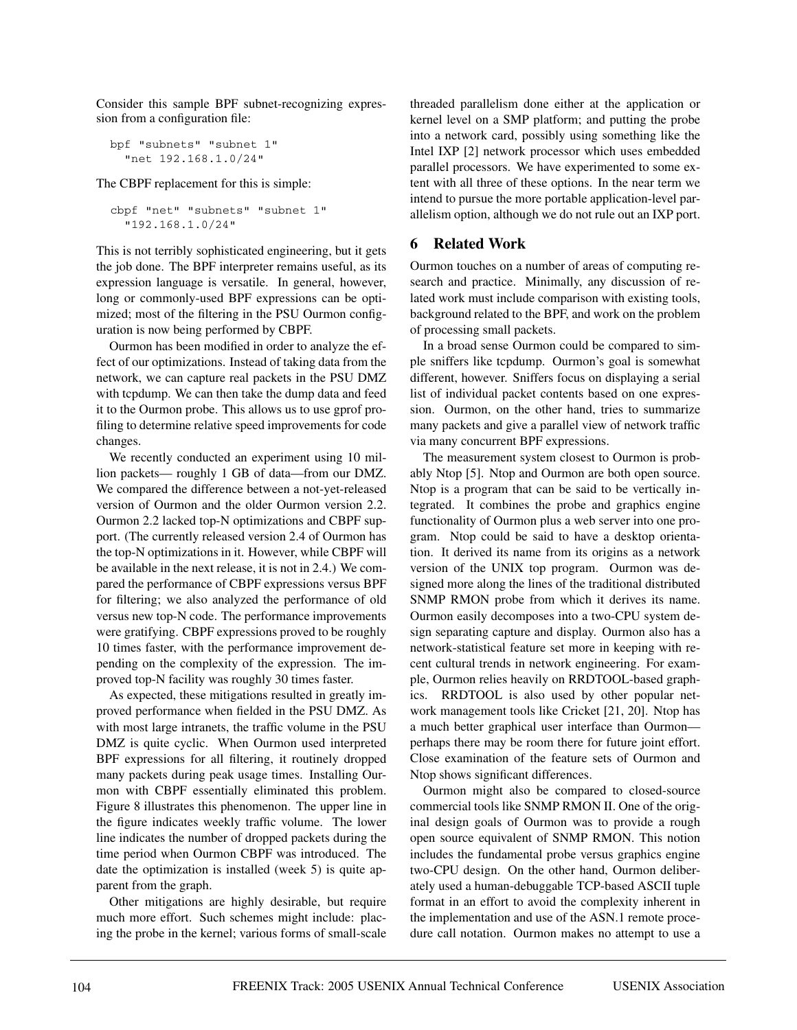Consider this sample BPF subnet-recognizing expression from a configuration file:

```
bpf "subnets" "subnet 1"
  "net 192.168.1.0/24"
```
The CBPF replacement for this is simple:

```
cbpf "net" "subnets" "subnet 1"
  "192.168.1.0/24"
```
This is not terribly sophisticated engineering, but it gets the job done. The BPF interpreter remains useful, as its expression language is versatile. In general, however, long or commonly-used BPF expressions can be optimized; most of the filtering in the PSU Ourmon configuration is now being performed by CBPF.

Ourmon has been modified in order to analyze the effect of our optimizations. Instead of taking data from the network, we can capture real packets in the PSU DMZ with tcpdump. We can then take the dump data and feed it to the Ourmon probe. This allows us to use gprof profiling to determine relative speed improvements for code changes.

We recently conducted an experiment using 10 million packets— roughly 1 GB of data—from our DMZ. We compared the difference between a not-yet-released version of Ourmon and the older Ourmon version 2.2. Ourmon 2.2 lacked top-N optimizations and CBPF support. (The currently released version 2.4 of Ourmon has the top-N optimizations in it. However, while CBPF will be available in the next release, it is not in 2.4.) We compared the performance of CBPF expressions versus BPF for filtering; we also analyzed the performance of old versus new top-N code. The performance improvements were gratifying. CBPF expressions proved to be roughly 10 times faster, with the performance improvement depending on the complexity of the expression. The improved top-N facility was roughly 30 times faster.

As expected, these mitigations resulted in greatly improved performance when fielded in the PSU DMZ. As with most large intranets, the traffic volume in the PSU DMZ is quite cyclic. When Ourmon used interpreted BPF expressions for all filtering, it routinely dropped many packets during peak usage times. Installing Ourmon with CBPF essentially eliminated this problem. Figure 8 illustrates this phenomenon. The upper line in the figure indicates weekly traffic volume. The lower line indicates the number of dropped packets during the time period when Ourmon CBPF was introduced. The date the optimization is installed (week 5) is quite apparent from the graph.

Other mitigations are highly desirable, but require much more effort. Such schemes might include: placing the probe in the kernel; various forms of small-scale threaded parallelism done either at the application or kernel level on a SMP platform; and putting the probe into a network card, possibly using something like the Intel IXP [2] network processor which uses embedded parallel processors. We have experimented to some extent with all three of these options. In the near term we intend to pursue the more portable application-level parallelism option, although we do not rule out an IXP port.

### **6 Related Work**

Ourmon touches on a number of areas of computing research and practice. Minimally, any discussion of related work must include comparison with existing tools, background related to the BPF, and work on the problem of processing small packets.

In a broad sense Ourmon could be compared to simple sniffers like tcpdump. Ourmon's goal is somewhat different, however. Sniffers focus on displaying a serial list of individual packet contents based on one expression. Ourmon, on the other hand, tries to summarize many packets and give a parallel view of network traffic via many concurrent BPF expressions.

The measurement system closest to Ourmon is probably Ntop [5]. Ntop and Ourmon are both open source. Ntop is a program that can be said to be vertically integrated. It combines the probe and graphics engine functionality of Ourmon plus a web server into one program. Ntop could be said to have a desktop orientation. It derived its name from its origins as a network version of the UNIX top program. Ourmon was designed more along the lines of the traditional distributed SNMP RMON probe from which it derives its name. Ourmon easily decomposes into a two-CPU system design separating capture and display. Ourmon also has a network-statistical feature set more in keeping with recent cultural trends in network engineering. For example, Ourmon relies heavily on RRDTOOL-based graphics. RRDTOOL is also used by other popular network management tools like Cricket [21, 20]. Ntop has a much better graphical user interface than Ourmon perhaps there may be room there for future joint effort. Close examination of the feature sets of Ourmon and Ntop shows significant differences.

Ourmon might also be compared to closed-source commercial tools like SNMP RMON II. One of the original design goals of Ourmon was to provide a rough open source equivalent of SNMP RMON. This notion includes the fundamental probe versus graphics engine two-CPU design. On the other hand, Ourmon deliberately used a human-debuggable TCP-based ASCII tuple format in an effort to avoid the complexity inherent in the implementation and use of the ASN.1 remote procedure call notation. Ourmon makes no attempt to use a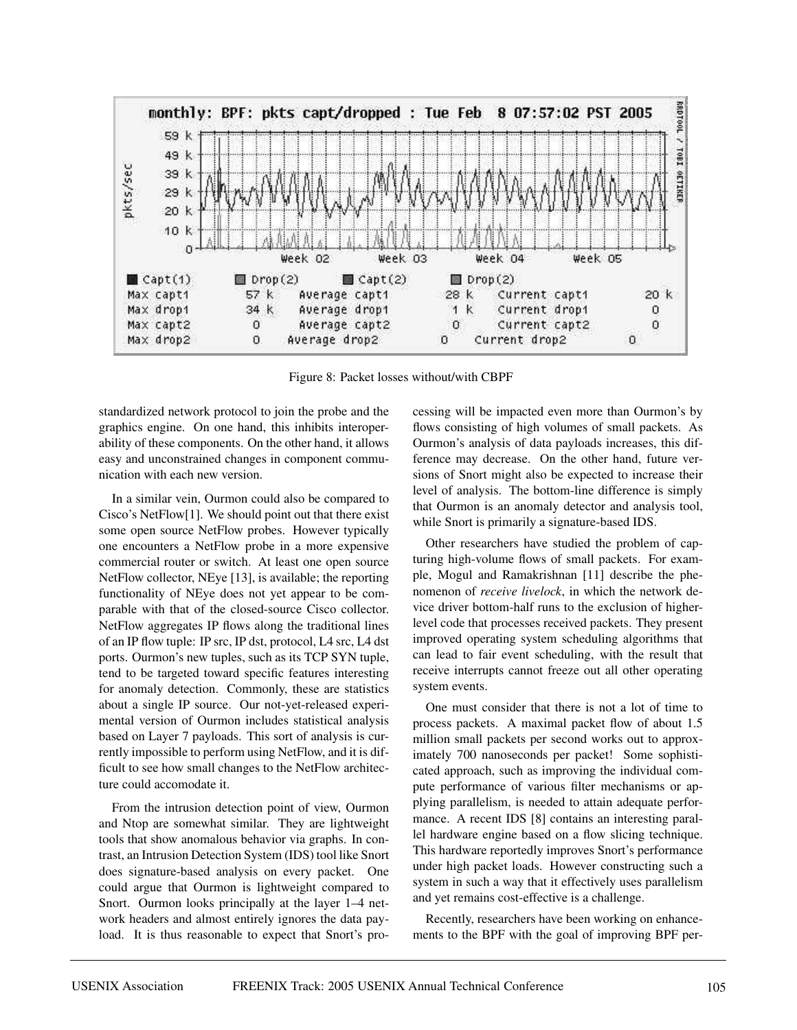

Figure 8: Packet losses without/with CBPF

standardized network protocol to join the probe and the graphics engine. On one hand, this inhibits interoperability of these components. On the other hand, it allows easy and unconstrained changes in component communication with each new version.

In a similar vein, Ourmon could also be compared to Cisco's NetFlow[1]. We should point out that there exist some open source NetFlow probes. However typically one encounters a NetFlow probe in a more expensive commercial router or switch. At least one open source NetFlow collector, NEye [13], is available; the reporting functionality of NEye does not yet appear to be comparable with that of the closed-source Cisco collector. NetFlow aggregates IP flows along the traditional lines of an IP flow tuple: IP src, IP dst, protocol, L4 src, L4 dst ports. Ourmon's new tuples, such as its TCP SYN tuple, tend to be targeted toward specific features interesting for anomaly detection. Commonly, these are statistics about a single IP source. Our not-yet-released experimental version of Ourmon includes statistical analysis based on Layer 7 payloads. This sort of analysis is currently impossible to perform using NetFlow, and it is difficult to see how small changes to the NetFlow architecture could accomodate it.

From the intrusion detection point of view, Ourmon and Ntop are somewhat similar. They are lightweight tools that show anomalous behavior via graphs. In contrast, an Intrusion Detection System (IDS) tool like Snort does signature-based analysis on every packet. One could argue that Ourmon is lightweight compared to Snort. Ourmon looks principally at the layer 1–4 network headers and almost entirely ignores the data payload. It is thus reasonable to expect that Snort's processing will be impacted even more than Ourmon's by flows consisting of high volumes of small packets. As Ourmon's analysis of data payloads increases, this difference may decrease. On the other hand, future versions of Snort might also be expected to increase their level of analysis. The bottom-line difference is simply that Ourmon is an anomaly detector and analysis tool, while Snort is primarily a signature-based IDS.

Other researchers have studied the problem of capturing high-volume flows of small packets. For example, Mogul and Ramakrishnan [11] describe the phenomenon of *receive livelock*, in which the network device driver bottom-half runs to the exclusion of higherlevel code that processes received packets. They present improved operating system scheduling algorithms that can lead to fair event scheduling, with the result that receive interrupts cannot freeze out all other operating system events.

One must consider that there is not a lot of time to process packets. A maximal packet flow of about 1.5 million small packets per second works out to approximately 700 nanoseconds per packet! Some sophisticated approach, such as improving the individual compute performance of various filter mechanisms or applying parallelism, is needed to attain adequate performance. A recent IDS [8] contains an interesting parallel hardware engine based on a flow slicing technique. This hardware reportedly improves Snort's performance under high packet loads. However constructing such a system in such a way that it effectively uses parallelism and yet remains cost-effective is a challenge.

Recently, researchers have been working on enhancements to the BPF with the goal of improving BPF per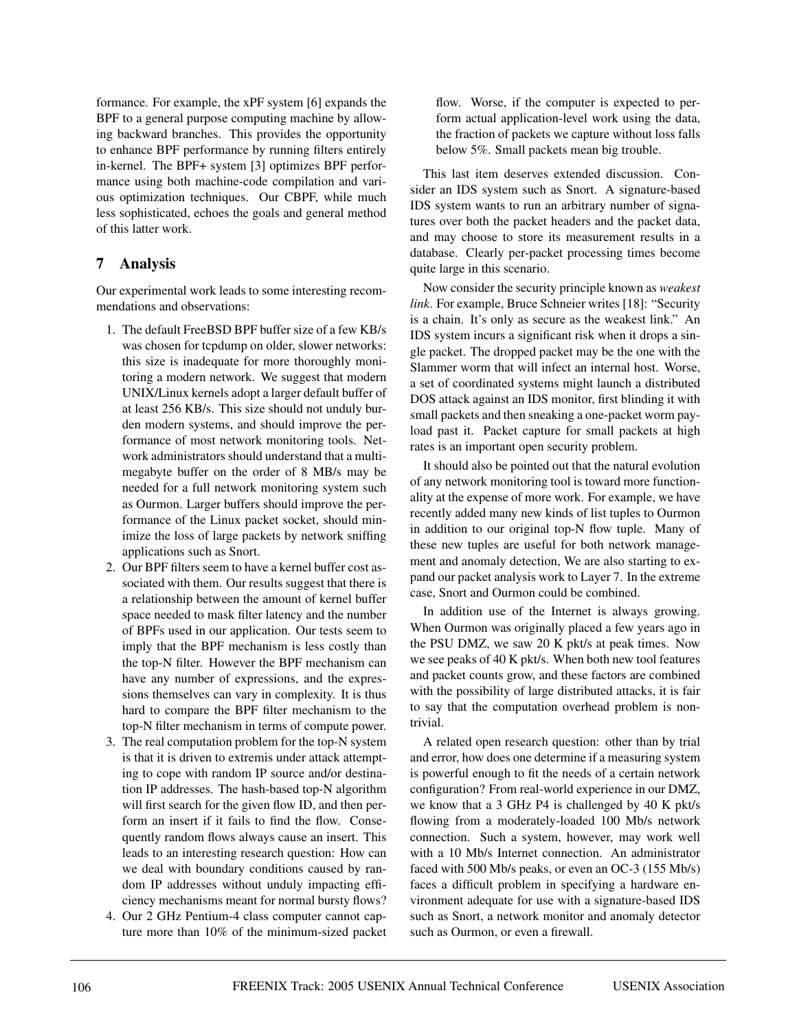formance. For example, the xPF system [6] expands the BPF to a general purpose computing machine by allowing backward branches. This provides the opportunity to enhance BPF performance by running filters entirely in-kernel. The BPF+ system [3] optimizes BPF performance using both machine-code compilation and various optimization techniques. Our CBPF, while much less sophisticated, echoes the goals and general method of this latter work.

### **7 Analysis**

Our experimental work leads to some interesting recommendations and observations:

- 1. The default FreeBSD BPF buffer size of a few KB/s was chosen for tcpdump on older, slower networks: this size is inadequate for more thoroughly monitoring a modern network. We suggest that modern UNIX/Linux kernels adopt a larger default buffer of at least 256 KB/s. This size should not unduly burden modern systems, and should improve the performance of most network monitoring tools. Network administrators should understand that a multimegabyte buffer on the order of 8 MB/s may be needed for a full network monitoring system such as Ourmon. Larger buffers should improve the performance of the Linux packet socket, should minimize the loss of large packets by network sniffing applications such as Snort.
- 2. Our BPF filters seem to have a kernel buffer cost associated with them. Our results suggest that there is a relationship between the amount of kernel buffer space needed to mask filter latency and the number of BPFs used in our application. Our tests seem to imply that the BPF mechanism is less costly than the top-N filter. However the BPF mechanism can have any number of expressions, and the expressions themselves can vary in complexity. It is thus hard to compare the BPF filter mechanism to the top-N filter mechanism in terms of compute power.
- 3. The real computation problem for the top-N system is that it is driven to extremis under attack attempting to cope with random IP source and/or destination IP addresses. The hash-based top-N algorithm will first search for the given flow ID, and then perform an insert if it fails to find the flow. Consequently random flows always cause an insert. This leads to an interesting research question: How can we deal with boundary conditions caused by random IP addresses without unduly impacting efficiency mechanisms meant for normal bursty flows?
- 4. Our 2 GHz Pentium-4 class computer cannot capture more than 10% of the minimum-sized packet

flow. Worse, if the computer is expected to perform actual application-level work using the data, the fraction of packets we capture without loss falls below 5%. Small packets mean big trouble.

This last item deserves extended discussion. Consider an IDS system such as Snort. A signature-based IDS system wants to run an arbitrary number of signatures over both the packet headers and the packet data, and may choose to store its measurement results in a database. Clearly per-packet processing times become quite large in this scenario.

Now consider the security principle known as *weakest link*. For example, Bruce Schneier writes [18]: "Security is a chain. It's only as secure as the weakest link." An IDS system incurs a significant risk when it drops a single packet. The dropped packet may be the one with the Slammer worm that will infect an internal host. Worse, a set of coordinated systems might launch a distributed DOS attack against an IDS monitor, first blinding it with small packets and then sneaking a one-packet worm payload past it. Packet capture for small packets at high rates is an important open security problem.

It should also be pointed out that the natural evolution of any network monitoring tool is toward more functionality at the expense of more work. For example, we have recently added many new kinds of list tuples to Ourmon in addition to our original top-N flow tuple. Many of these new tuples are useful for both network management and anomaly detection, We are also starting to expand our packet analysis work to Layer 7. In the extreme case, Snort and Ourmon could be combined.

In addition use of the Internet is always growing. When Ourmon was originally placed a few years ago in the PSU DMZ, we saw 20 K pkt/s at peak times. Now we see peaks of 40 K pkt/s. When both new tool features and packet counts grow, and these factors are combined with the possibility of large distributed attacks, it is fair to say that the computation overhead problem is nontrivial.

A related open research question: other than by trial and error, how does one determine if a measuring system is powerful enough to fit the needs of a certain network configuration? From real-world experience in our DMZ, we know that a 3 GHz P4 is challenged by 40 K pkt/s flowing from a moderately-loaded 100 Mb/s network connection. Such a system, however, may work well with a 10 Mb/s Internet connection. An administrator faced with 500 Mb/s peaks, or even an OC-3 (155 Mb/s) faces a difficult problem in specifying a hardware environment adequate for use with a signature-based IDS such as Snort, a network monitor and anomaly detector such as Ourmon, or even a firewall.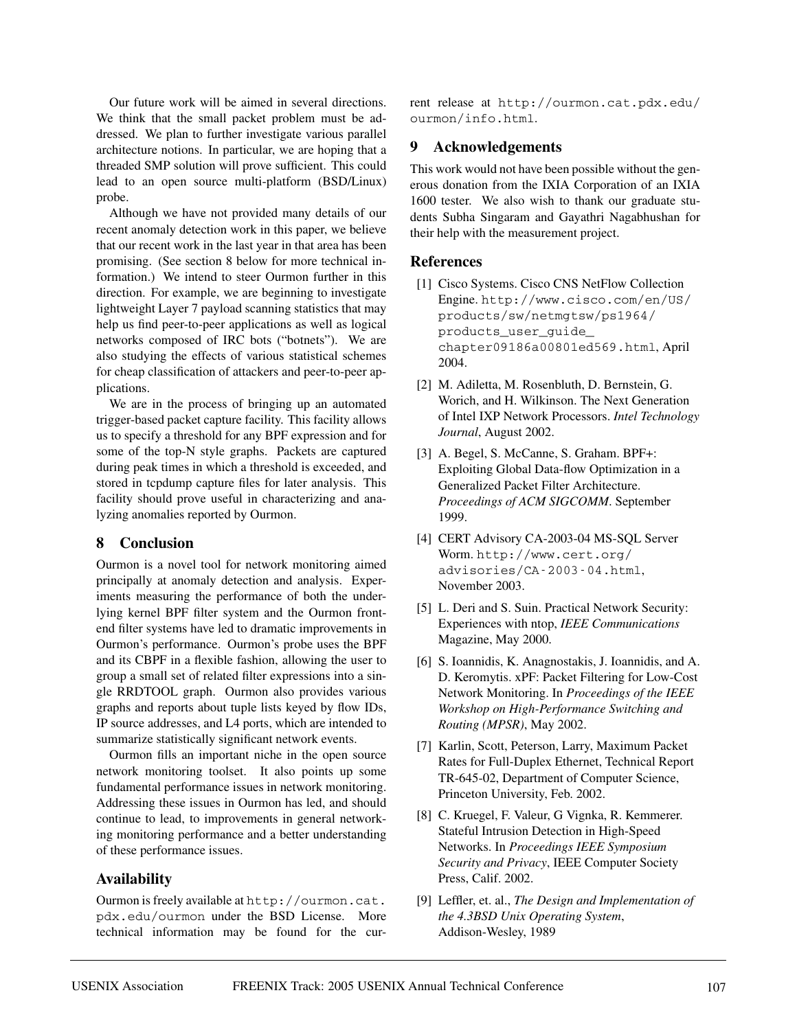Our future work will be aimed in several directions. We think that the small packet problem must be addressed. We plan to further investigate various parallel architecture notions. In particular, we are hoping that a threaded SMP solution will prove sufficient. This could lead to an open source multi-platform (BSD/Linux) probe.

Although we have not provided many details of our recent anomaly detection work in this paper, we believe that our recent work in the last year in that area has been promising. (See section 8 below for more technical information.) We intend to steer Ourmon further in this direction. For example, we are beginning to investigate lightweight Layer 7 payload scanning statistics that may help us find peer-to-peer applications as well as logical networks composed of IRC bots ("botnets"). We are also studying the effects of various statistical schemes for cheap classification of attackers and peer-to-peer applications.

We are in the process of bringing up an automated trigger-based packet capture facility. This facility allows us to specify a threshold for any BPF expression and for some of the top-N style graphs. Packets are captured during peak times in which a threshold is exceeded, and stored in tcpdump capture files for later analysis. This facility should prove useful in characterizing and analyzing anomalies reported by Ourmon.

### **8 Conclusion**

Ourmon is a novel tool for network monitoring aimed principally at anomaly detection and analysis. Experiments measuring the performance of both the underlying kernel BPF filter system and the Ourmon frontend filter systems have led to dramatic improvements in Ourmon's performance. Ourmon's probe uses the BPF and its CBPF in a flexible fashion, allowing the user to group a small set of related filter expressions into a single RRDTOOL graph. Ourmon also provides various graphs and reports about tuple lists keyed by flow IDs, IP source addresses, and L4 ports, which are intended to summarize statistically significant network events.

Ourmon fills an important niche in the open source network monitoring toolset. It also points up some fundamental performance issues in network monitoring. Addressing these issues in Ourmon has led, and should continue to lead, to improvements in general networking monitoring performance and a better understanding of these performance issues.

### **Availability**

Ourmon is freely available at http://ourmon.cat. pdx.edu/ourmon under the BSD License. More technical information may be found for the current release at http://ourmon.cat.pdx.edu/ ourmon/info.html.

### **9 Acknowledgements**

This work would not have been possible without the generous donation from the IXIA Corporation of an IXIA 1600 tester. We also wish to thank our graduate students Subha Singaram and Gayathri Nagabhushan for their help with the measurement project.

### **References**

- [1] Cisco Systems. Cisco CNS NetFlow Collection Engine. http://www.cisco.com/en/US/ products/sw/netmgtsw/ps1964/ products user quide chapter09186a00801ed569.html, April 2004.
- [2] M. Adiletta, M. Rosenbluth, D. Bernstein, G. Worich, and H. Wilkinson. The Next Generation of Intel IXP Network Processors. *Intel Technology Journal*, August 2002.
- [3] A. Begel, S. McCanne, S. Graham. BPF+: Exploiting Global Data-flow Optimization in a Generalized Packet Filter Architecture. *Proceedings of ACM SIGCOMM*. September 1999.
- [4] CERT Advisory CA-2003-04 MS-SQL Server Worm. http://www.cert.org/ advisories/CA-2003-04.html, November 2003.
- [5] L. Deri and S. Suin. Practical Network Security: Experiences with ntop, *IEEE Communications* Magazine, May 2000.
- [6] S. Ioannidis, K. Anagnostakis, J. Ioannidis, and A. D. Keromytis. xPF: Packet Filtering for Low-Cost Network Monitoring. In *Proceedings of the IEEE Workshop on High-Performance Switching and Routing (MPSR)*, May 2002.
- [7] Karlin, Scott, Peterson, Larry, Maximum Packet Rates for Full-Duplex Ethernet, Technical Report TR-645-02, Department of Computer Science, Princeton University, Feb. 2002.
- [8] C. Kruegel, F. Valeur, G Vignka, R. Kemmerer. Stateful Intrusion Detection in High-Speed Networks. In *Proceedings IEEE Symposium Security and Privacy*, IEEE Computer Society Press, Calif. 2002.
- [9] Leffler, et. al., *The Design and Implementation of the 4.3BSD Unix Operating System*, Addison-Wesley, 1989